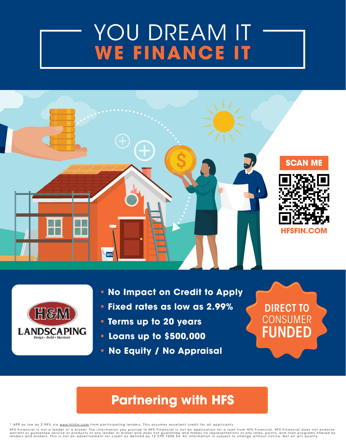## [YOU DREAM IT](https://www.hfsfinancial.net/promo/HMLandscapingOH) **WE FINANCE IT**





- **No Impact on Credit to Apply**
- **Fixed rates as low as 2.99%**
- **Terms up to 20 years**
- **• Loans up to \$500,000**
- **• No Equity / No Appraisal**

# DIRECT TO **CONSUMER** FUNDED

#### **Partnering with HFS**

\* APR as low as 2.99% via www.hfsfin.com from participating lenders. This assumes excellent credit for all applicants.

HFS Financial is not a lender or a broker. The information you provide to HFS Financial is not an application for a loan from HFS Financial. HFS Financial does not endorse, warrant or guarantee service or products of any lender or broker and does not guarantee and makes no representations of any rates, points, and loan programs offered by<br>lenders and brokers. This is not an advertisement for